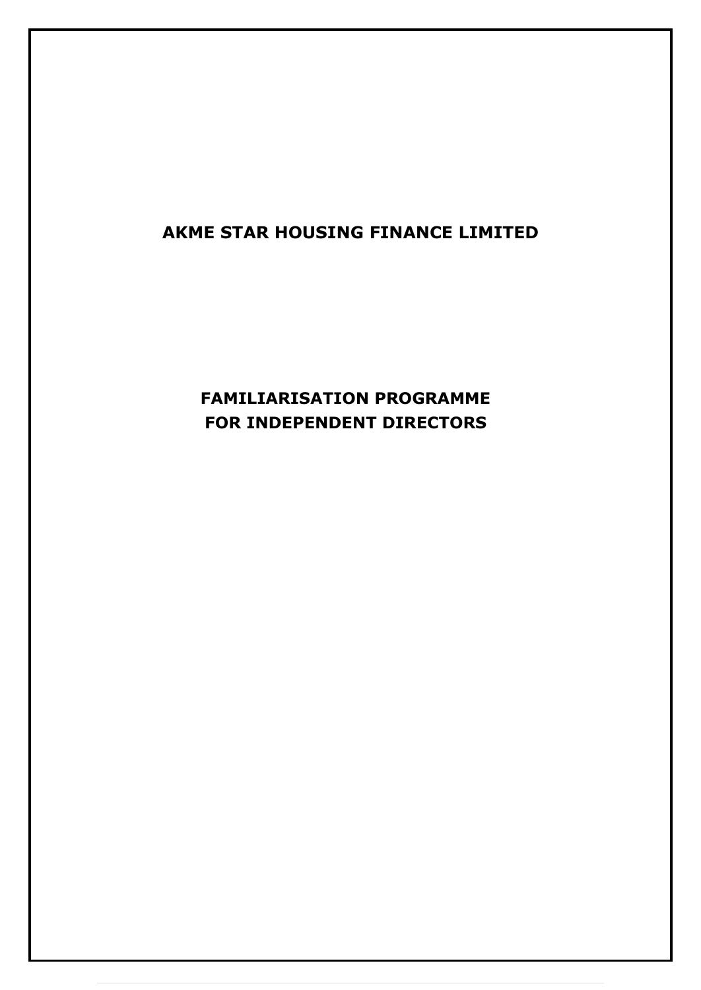## **AKME STAR HOUSING FINANCE LIMITED**

# **FAMILIARISATION PROGRAMME FOR INDEPENDENT DIRECTORS**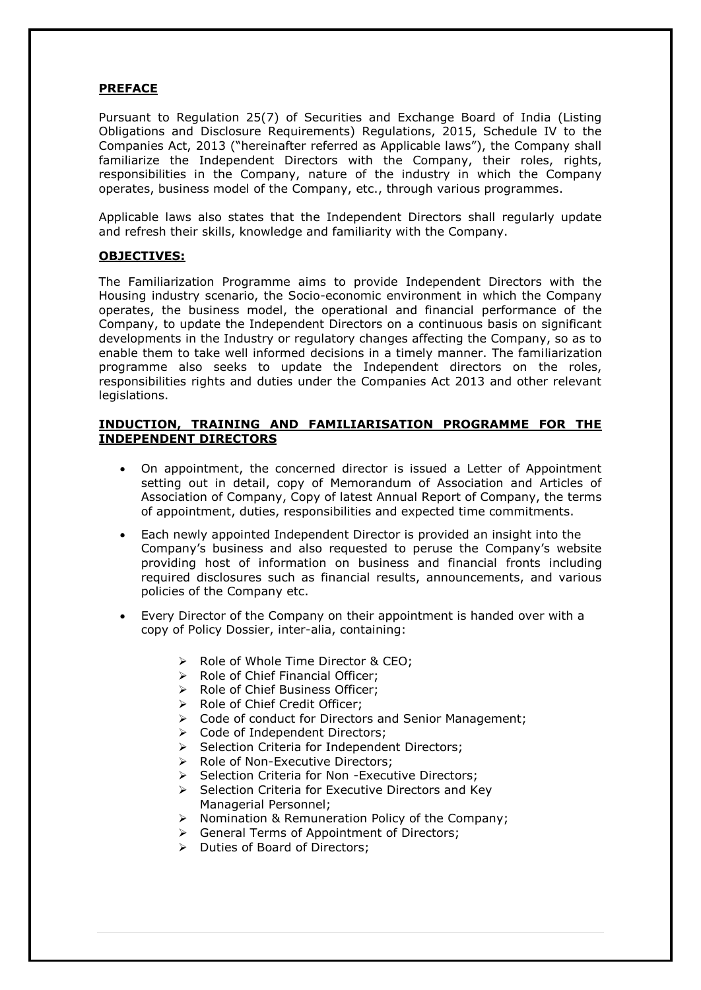## **PREFACE**

Pursuant to Regulation 25(7) of Securities and Exchange Board of India (Listing Obligations and Disclosure Requirements) Regulations, 2015, Schedule IV to the Companies Act, 2013 ("hereinafter referred as Applicable laws"), the Company shall familiarize the Independent Directors with the Company, their roles, rights, responsibilities in the Company, nature of the industry in which the Company operates, business model of the Company, etc., through various programmes.

Applicable laws also states that the Independent Directors shall regularly update and refresh their skills, knowledge and familiarity with the Company.

#### **OBJECTIVES:**

The Familiarization Programme aims to provide Independent Directors with the Housing industry scenario, the Socio-economic environment in which the Company operates, the business model, the operational and financial performance of the Company, to update the Independent Directors on a continuous basis on significant developments in the Industry or regulatory changes affecting the Company, so as to enable them to take well informed decisions in a timely manner. The familiarization programme also seeks to update the Independent directors on the roles, responsibilities rights and duties under the Companies Act 2013 and other relevant legislations.

### **INDUCTION, TRAINING AND FAMILIARISATION PROGRAMME FOR THE INDEPENDENT DIRECTORS**

- On appointment, the concerned director is issued a Letter of Appointment setting out in detail, copy of Memorandum of Association and Articles of Association of Company, Copy of latest Annual Report of Company, the terms of appointment, duties, responsibilities and expected time commitments.
- Each newly appointed Independent Director is provided an insight into the Company's business and also requested to peruse the Company's website providing host of information on business and financial fronts including required disclosures such as financial results, announcements, and various policies of the Company etc.
- Every Director of the Company on their appointment is handed over with a copy of Policy Dossier, inter-alia, containing:
	- ➢ Role of Whole Time Director & CEO;
	- ➢ Role of Chief Financial Officer;
	- ➢ Role of Chief Business Officer;
	- ➢ Role of Chief Credit Officer;
	- ➢ Code of conduct for Directors and Senior Management;
	- ➢ Code of Independent Directors;
	- ➢ Selection Criteria for Independent Directors;
	- ➢ Role of Non-Executive Directors;
	- ➢ Selection Criteria for Non -Executive Directors;
	- ➢ Selection Criteria for Executive Directors and Key Managerial Personnel;
	- ➢ Nomination & Remuneration Policy of the Company;
	- ➢ General Terms of Appointment of Directors;
	- ➢ Duties of Board of Directors;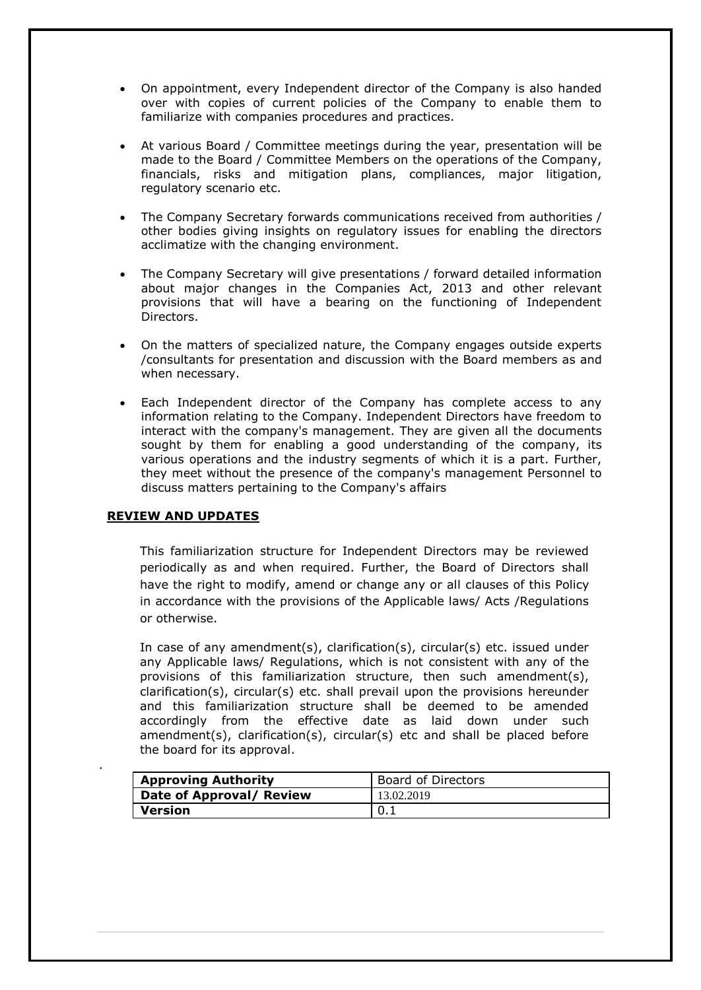- On appointment, every Independent director of the Company is also handed over with copies of current policies of the Company to enable them to familiarize with companies procedures and practices.
- At various Board / Committee meetings during the year, presentation will be made to the Board / Committee Members on the operations of the Company, financials, risks and mitigation plans, compliances, major litigation, regulatory scenario etc.
- The Company Secretary forwards communications received from authorities / other bodies giving insights on regulatory issues for enabling the directors acclimatize with the changing environment.
- The Company Secretary will give presentations / forward detailed information about major changes in the Companies Act, 2013 and other relevant provisions that will have a bearing on the functioning of Independent Directors.
- On the matters of specialized nature, the Company engages outside experts /consultants for presentation and discussion with the Board members as and when necessary.
- Each Independent director of the Company has complete access to any information relating to the Company. Independent Directors have freedom to interact with the company's management. They are given all the documents sought by them for enabling a good understanding of the company, its various operations and the industry segments of which it is a part. Further, they meet without the presence of the company's management Personnel to discuss matters pertaining to the Company's affairs

#### **REVIEW AND UPDATES**

.

This familiarization structure for Independent Directors may be reviewed periodically as and when required. Further, the Board of Directors shall have the right to modify, amend or change any or all clauses of this Policy in accordance with the provisions of the Applicable laws/ Acts /Regulations or otherwise.

In case of any amendment(s), clarification(s), circular(s) etc. issued under any Applicable laws/ Regulations, which is not consistent with any of the provisions of this familiarization structure, then such amendment(s), clarification(s), circular(s) etc. shall prevail upon the provisions hereunder and this familiarization structure shall be deemed to be amended accordingly from the effective date as laid down under such amendment(s), clarification(s), circular(s) etc and shall be placed before the board for its approval.

| <b>Approving Authority</b> | <b>Board of Directors</b> |
|----------------------------|---------------------------|
| Date of Approval/ Review   | 13.02.2019                |
| Version                    | 10.1                      |